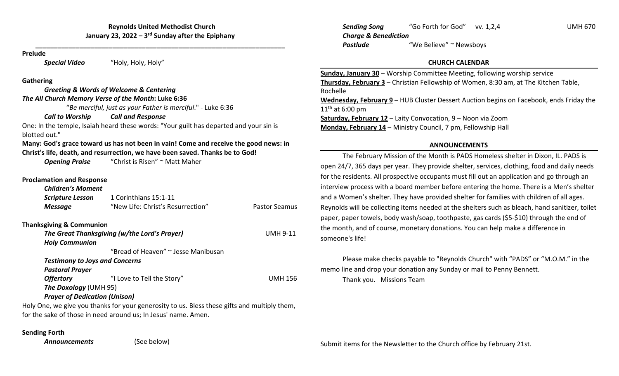**\_\_\_\_\_\_\_\_\_\_\_\_\_\_\_\_\_\_\_\_\_\_\_\_\_\_\_\_\_\_\_\_\_\_\_\_\_\_\_\_\_\_\_\_\_\_\_\_\_\_\_\_\_\_\_\_\_\_\_\_\_\_\_\_\_\_\_\_**

#### **Prelude**

*Special Video* "Holy, Holy, Holy"

## **Gathering**

*Greeting & Words of Welcome & Centering The All Church Memory Verse of the Month***: Luke 6:36**

"*Be merciful, just as your Father is merciful*." ‐ Luke 6:36

#### *Call to* $Call$  *and Response*

One: In the temple, Isaiah heard these words: "Your guilt has departed and your sin is blotted out."

# **Many: God's grace toward us has not been in vain! Come and receive the good news: in Christ's life, death, and resurrection, we have been saved. Thanks be to God!**

**Opening Praise** "Christ is Risen" ~ Matt Maher

# **Proclamation and Response**

| <b>Children's Moment</b>              |                                                                                              |                      |
|---------------------------------------|----------------------------------------------------------------------------------------------|----------------------|
| <b>Scripture Lesson</b>               | 1 Corinthians 15:1-11                                                                        |                      |
| <b>Message</b>                        | "New Life: Christ's Resurrection"                                                            | <b>Pastor Seamus</b> |
| <b>Thanksgiving &amp; Communion</b>   |                                                                                              |                      |
|                                       | The Great Thanksgiving (w/the Lord's Prayer)                                                 | <b>UMH 9-11</b>      |
| <b>Holy Communion</b>                 |                                                                                              |                      |
|                                       | "Bread of Heaven" ~ Jesse Manibusan                                                          |                      |
| <b>Testimony to Joys and Concerns</b> |                                                                                              |                      |
| <b>Pastoral Prayer</b>                |                                                                                              |                      |
| <b>Offertory</b>                      | "I Love to Tell the Story"                                                                   | <b>UMH 156</b>       |
| <b>The Doxology (UMH 95)</b>          |                                                                                              |                      |
| <b>Prayer of Dedication (Unison)</b>  |                                                                                              |                      |
|                                       | Holy One, we give you thanks for your generosity to us. Bless these gifts and multiply them, |                      |

for the sake of those in need around us; In Jesus' name. Amen.

### **Sending Forth**

*Announcements*

(See below)

*Sending Song* "Go Forth for God" vv. 1,2,4 UMH 670 *Charge & Benediction Postlude*"We Believe" <sup>~</sup> Newsboys

# **CHURCH CALENDAR**

**Sunday, January 30** – Worship Committee Meeting, following worship service **Thursday, February 3** – Christian Fellowship of Women, 8:30 am, at The Kitchen Table, Rochelle**Wednesday, February 9** – HUB Cluster Dessert Auction begins on Facebook, ends Friday the  $11^{\text{th}}$  at 6:00 pm **Saturday, February 12** – Laity Convocation, 9 – Noon via Zoom **Monday, February 14** – Ministry Council, 7 pm, Fellowship Hall

# **ANNOUNCEMENTS**

The February Mission of the Month is PADS Homeless shelter in Dixon, IL. PADS is open 24/7, 365 days per year. They provide shelter, services, clothing, food and daily needs for the residents. All prospective occupants must fill out an application and go through an interview process with <sup>a</sup> board member before entering the home. There is <sup>a</sup> Men's shelter and <sup>a</sup> Women's shelter. They have provided shelter for families with children of all ages. Reynolds will be collecting items needed at the shelters such as bleach, hand sanitizer, toilet paper, paper towels, body wash/soap, toothpaste, gas cards (\$5‐\$10) through the end of the month, and of course, monetary donations. You can help make <sup>a</sup> difference in someone's life!

Please make checks payable to "Reynolds Church" with "PADS" or "M.O.M." in the memo line and drop your donation any Sunday or mail to Penny Bennett.

Thank you. Missions Team

Submit items for the Newsletter to the Church office by February 21st.